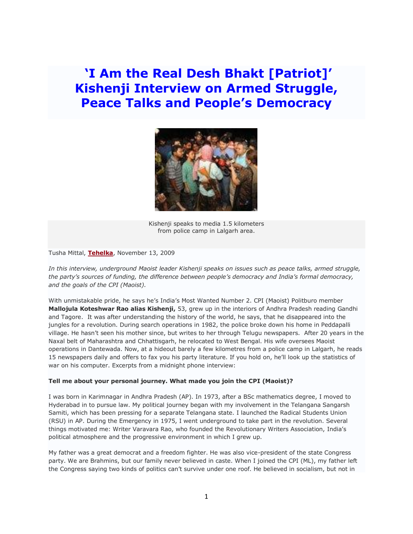**'I Am the Real Desh Bhakt [Patriot]' Kishenji Interview on Armed Struggle, Peace Talks and People's Democracy**



Kishenji speaks to media 1.5 kilometers from police camp in Lalgarh area.

Tusha Mittal, **[Tehelka](http://www.tehelka.com/story_main43.asp?filename=Ne211109i_am.asp)**, November 13, 2009

*In this interview, underground Maoist leader Kishenji speaks on issues such as peace talks, armed struggle, the party's sources of funding, the difference between people's democracy and India's formal democracy, and the goals of the CPI (Maoist).*

With unmistakable pride, he says he's India's Most Wanted Number 2. CPI (Maoist) Politburo member **Mallojula Koteshwar Rao alias Kishenji,** 53, grew up in the interiors of Andhra Pradesh reading Gandhi and Tagore. It was after understanding the history of the world, he says, that he disappeared into the jungles for a revolution. During search operations in 1982, the police broke down his home in Peddapalli village. He hasn't seen his mother since, but writes to her through Telugu newspapers. After 20 years in the Naxal belt of Maharashtra and Chhattisgarh, he relocated to West Bengal. His wife oversees Maoist operations in Dantewada. Now, at a hideout barely a few kilometres from a police camp in Lalgarh, he reads 15 newspapers daily and offers to fax you his party literature. If you hold on, he'll look up the statistics of war on his computer. Excerpts from a midnight phone interview:

#### **Tell me about your personal journey. What made you join the CPI (Maoist)?**

I was born in Karimnagar in Andhra Pradesh (AP). In 1973, after a BSc mathematics degree, I moved to Hyderabad in to pursue law. My political journey began with my involvement in the Telangana Sangarsh Samiti, which has been pressing for a separate Telangana state. I launched the Radical Students Union (RSU) in AP. During the Emergency in 1975, I went underground to take part in the revolution. Several things motivated me: Writer Varavara Rao, who founded the Revolutionary Writers Association, India's political atmosphere and the progressive environment in which I grew up.

My father was a great democrat and a freedom fighter. He was also vice-president of the state Congress party. We are Brahmins, but our family never believed in caste. When I joined the CPI (ML), my father left the Congress saying two kinds of politics can't survive under one roof. He believed in socialism, but not in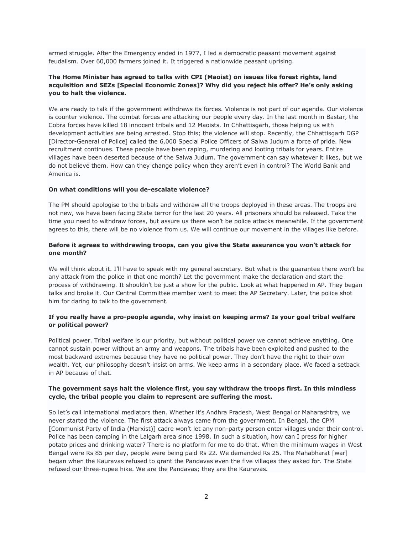armed struggle. After the Emergency ended in 1977, I led a democratic peasant movement against feudalism. Over 60,000 farmers joined it. It triggered a nationwide peasant uprising.

# **The Home Minister has agreed to talks with CPI (Maoist) on issues like forest rights, land acquisition and SEZs [Special Economic Zones]? Why did you reject his offer? He's only asking you to halt the violence.**

We are ready to talk if the government withdraws its forces. Violence is not part of our agenda. Our violence is counter violence. The combat forces are attacking our people every day. In the last month in Bastar, the Cobra forces have killed 18 innocent tribals and 12 Maoists. In Chhattisgarh, those helping us with development activities are being arrested. Stop this; the violence will stop. Recently, the Chhattisgarh DGP [Director-General of Police] called the 6,000 Special Police Officers of Salwa Judum a force of pride. New recruitment continues. These people have been raping, murdering and looting tribals for years. Entire villages have been deserted because of the Salwa Judum. The government can say whatever it likes, but we do not believe them. How can they change policy when they aren't even in control? The World Bank and America is.

#### **On what conditions will you de-escalate violence?**

The PM should apologise to the tribals and withdraw all the troops deployed in these areas. The troops are not new, we have been facing State terror for the last 20 years. All prisoners should be released. Take the time you need to withdraw forces, but assure us there won't be police attacks meanwhile. If the government agrees to this, there will be no violence from us. We will continue our movement in the villages like before.

## **Before it agrees to withdrawing troops, can you give the State assurance you won't attack for one month?**

We will think about it. I'll have to speak with my general secretary. But what is the guarantee there won't be any attack from the police in that one month? Let the government make the declaration and start the process of withdrawing. It shouldn't be just a show for the public. Look at what happened in AP. They began talks and broke it. Our Central Committee member went to meet the AP Secretary. Later, the police shot him for daring to talk to the government.

## **If you really have a pro-people agenda, why insist on keeping arms? Is your goal tribal welfare or political power?**

Political power. Tribal welfare is our priority, but without political power we cannot achieve anything. One cannot sustain power without an army and weapons. The tribals have been exploited and pushed to the most backward extremes because they have no political power. They don't have the right to their own wealth. Yet, our philosophy doesn't insist on arms. We keep arms in a secondary place. We faced a setback in AP because of that.

## **The government says halt the violence first, you say withdraw the troops first. In this mindless cycle, the tribal people you claim to represent are suffering the most.**

So let's call international mediators then. Whether it's Andhra Pradesh, West Bengal or Maharashtra, we never started the violence. The first attack always came from the government. In Bengal, the CPM [Communist Party of India (Marxist)] cadre won't let any non-party person enter villages under their control. Police has been camping in the Lalgarh area since 1998. In such a situation, how can I press for higher potato prices and drinking water? There is no platform for me to do that. When the minimum wages in West Bengal were Rs 85 per day, people were being paid Rs 22. We demanded Rs 25. The Mahabharat [war] began when the Kauravas refused to grant the Pandavas even the five villages they asked for. The State refused our three-rupee hike. We are the Pandavas; they are the Kauravas.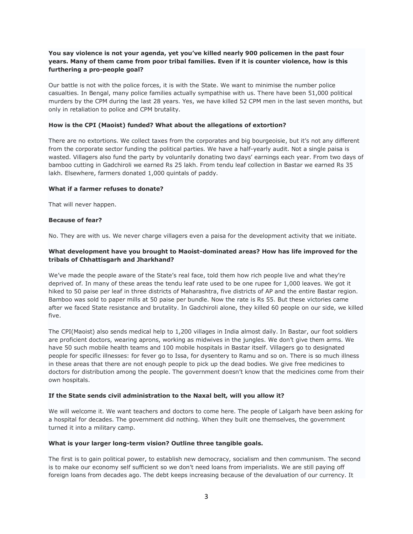# **You say violence is not your agenda, yet you've killed nearly 900 policemen in the past four years. Many of them came from poor tribal families. Even if it is counter violence, how is this furthering a pro-people goal?**

Our battle is not with the police forces, it is with the State. We want to minimise the number police casualties. In Bengal, many police families actually sympathise with us. There have been 51,000 political murders by the CPM during the last 28 years. Yes, we have killed 52 CPM men in the last seven months, but only in retaliation to police and CPM brutality.

#### **How is the CPI (Maoist) funded? What about the allegations of extortion?**

There are no extortions. We collect taxes from the corporates and big bourgeoisie, but it's not any different from the corporate sector funding the political parties. We have a half-yearly audit. Not a single paisa is wasted. Villagers also fund the party by voluntarily donating two days' earnings each year. From two days of bamboo cutting in Gadchiroli we earned Rs 25 lakh. From tendu leaf collection in Bastar we earned Rs 35 lakh. Elsewhere, farmers donated 1,000 quintals of paddy.

## **What if a farmer refuses to donate?**

That will never happen.

## **Because of fear?**

No. They are with us. We never charge villagers even a paisa for the development activity that we initiate.

# **What development have you brought to Maoist-dominated areas? How has life improved for the tribals of Chhattisgarh and Jharkhand?**

We've made the people aware of the State's real face, told them how rich people live and what they're deprived of. In many of these areas the tendu leaf rate used to be one rupee for 1,000 leaves. We got it hiked to 50 paise per leaf in three districts of Maharashtra, five districts of AP and the entire Bastar region. Bamboo was sold to paper mills at 50 paise per bundle. Now the rate is Rs 55. But these victories came after we faced State resistance and brutality. In Gadchiroli alone, they killed 60 people on our side, we killed five.

The CPI(Maoist) also sends medical help to 1,200 villages in India almost daily. In Bastar, our foot soldiers are proficient doctors, wearing aprons, working as midwives in the jungles. We don't give them arms. We have 50 such mobile health teams and 100 mobile hospitals in Bastar itself. Villagers go to designated people for specific illnesses: for fever go to Issa, for dysentery to Ramu and so on. There is so much illness in these areas that there are not enough people to pick up the dead bodies. We give free medicines to doctors for distribution among the people. The government doesn't know that the medicines come from their own hospitals.

#### **If the State sends civil administration to the Naxal belt, will you allow it?**

We will welcome it. We want teachers and doctors to come here. The people of Lalgarh have been asking for a hospital for decades. The government did nothing. When they built one themselves, the government turned it into a military camp.

#### **What is your larger long-term vision? Outline three tangible goals.**

The first is to gain political power, to establish new democracy, socialism and then communism. The second is to make our economy self sufficient so we don't need loans from imperialists. We are still paying off foreign loans from decades ago. The debt keeps increasing because of the devaluation of our currency. It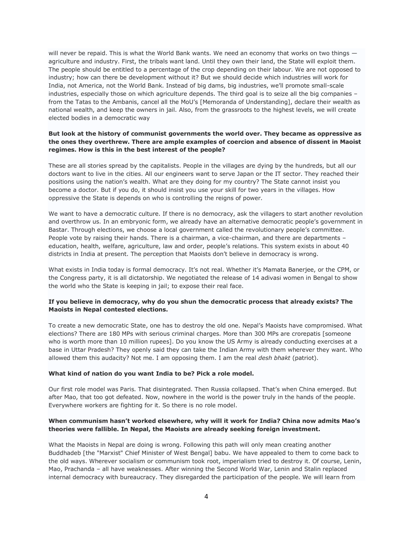will never be repaid. This is what the World Bank wants. We need an economy that works on two things  $$ agriculture and industry. First, the tribals want land. Until they own their land, the State will exploit them. The people should be entitled to a percentage of the crop depending on their labour. We are not opposed to industry; how can there be development without it? But we should decide which industries will work for India, not America, not the World Bank. Instead of big dams, big industries, we'll promote small-scale industries, especially those on which agriculture depends. The third goal is to seize all the big companies – from the Tatas to the Ambanis, cancel all the MoU's [Memoranda of Understanding], declare their wealth as national wealth, and keep the owners in jail. Also, from the grassroots to the highest levels, we will create elected bodies in a democratic way

# **But look at the history of communist governments the world over. They became as oppressive as the ones they overthrew. There are ample examples of coercion and absence of dissent in Maoist regimes. How is this in the best interest of the people?**

These are all stories spread by the capitalists. People in the villages are dying by the hundreds, but all our doctors want to live in the cities. All our engineers want to serve Japan or the IT sector. They reached their positions using the nation's wealth. What are they doing for my country? The State cannot insist you become a doctor. But if you do, it should insist you use your skill for two years in the villages. How oppressive the State is depends on who is controlling the reigns of power.

We want to have a democratic culture. If there is no democracy, ask the villagers to start another revolution and overthrow us. In an embryonic form, we already have an alternative democratic people's government in Bastar. Through elections, we choose a local government called the revolutionary people's committee. People vote by raising their hands. There is a chairman, a vice-chairman, and there are departments – education, health, welfare, agriculture, law and order, people's relations. This system exists in about 40 districts in India at present. The perception that Maoists don't believe in democracy is wrong.

What exists in India today is formal democracy. It's not real. Whether it's Mamata Banerjee, or the CPM, or the Congress party, it is all dictatorship. We negotiated the release of 14 adivasi women in Bengal to show the world who the State is keeping in jail; to expose their real face.

#### **If you believe in democracy, why do you shun the democratic process that already exists? The Maoists in Nepal contested elections.**

To create a new democratic State, one has to destroy the old one. Nepal's Maoists have compromised. What elections? There are 180 MPs with serious criminal charges. More than 300 MPs are crorepatis [someone who is worth more than 10 million rupees]. Do you know the US Army is already conducting exercises at a base in Uttar Pradesh? They openly said they can take the Indian Army with them wherever they want. Who allowed them this audacity? Not me. I am opposing them. I am the real *desh bhakt* (patriot).

#### **What kind of nation do you want India to be? Pick a role model.**

Our first role model was Paris. That disintegrated. Then Russia collapsed. That's when China emerged. But after Mao, that too got defeated. Now, nowhere in the world is the power truly in the hands of the people. Everywhere workers are fighting for it. So there is no role model.

## **When communism hasn't worked elsewhere, why will it work for India? China now admits Mao's theories were fallible. In Nepal, the Maoists are already seeking foreign investment.**

What the Maoists in Nepal are doing is wrong. Following this path will only mean creating another Buddhadeb [the "Marxist" Chief Minister of West Bengal] babu. We have appealed to them to come back to the old ways. Wherever socialism or communism took root, imperialism tried to destroy it. Of course, Lenin, Mao, Prachanda – all have weaknesses. After winning the Second World War, Lenin and Stalin replaced internal democracy with bureaucracy. They disregarded the participation of the people. We will learn from